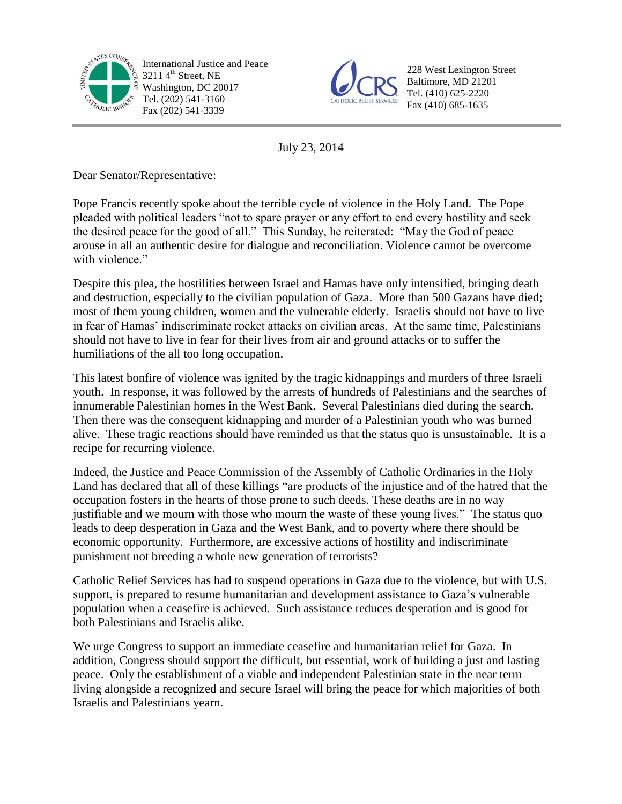

International Justice and Peace  $32114^{\text{th}}$  Street, NE Washington, DC 20017 Tel. (202) 541-3160 Fax (202) 541-3339



228 West Lexington Street Baltimore, MD 21201 Tel. (410) 625-2220 Fax (410) 685-1635

July 23, 2014

Dear Senator/Representative:

Pope Francis recently spoke about the terrible cycle of violence in the Holy Land. The Pope pleaded with political leaders "not to spare prayer or any effort to end every hostility and seek the desired peace for the good of all." This Sunday, he reiterated: "May the God of peace arouse in all an authentic desire for dialogue and reconciliation. Violence cannot be overcome with violence."

Despite this plea, the hostilities between Israel and Hamas have only intensified, bringing death and destruction, especially to the civilian population of Gaza. More than 500 Gazans have died; most of them young children, women and the vulnerable elderly. Israelis should not have to live in fear of Hamas' indiscriminate rocket attacks on civilian areas. At the same time, Palestinians should not have to live in fear for their lives from air and ground attacks or to suffer the humiliations of the all too long occupation.

This latest bonfire of violence was ignited by the tragic kidnappings and murders of three Israeli youth. In response, it was followed by the arrests of hundreds of Palestinians and the searches of innumerable Palestinian homes in the West Bank. Several Palestinians died during the search. Then there was the consequent kidnapping and murder of a Palestinian youth who was burned alive. These tragic reactions should have reminded us that the status quo is unsustainable. It is a recipe for recurring violence.

Indeed, the Justice and Peace Commission of the Assembly of Catholic Ordinaries in the Holy Land has declared that all of these killings "are products of the injustice and of the hatred that the occupation fosters in the hearts of those prone to such deeds. These deaths are in no way justifiable and we mourn with those who mourn the waste of these young lives." The status quo leads to deep desperation in Gaza and the West Bank, and to poverty where there should be economic opportunity. Furthermore, are excessive actions of hostility and indiscriminate punishment not breeding a whole new generation of terrorists?

Catholic Relief Services has had to suspend operations in Gaza due to the violence, but with U.S. support, is prepared to resume humanitarian and development assistance to Gaza's vulnerable population when a ceasefire is achieved. Such assistance reduces desperation and is good for both Palestinians and Israelis alike.

We urge Congress to support an immediate ceasefire and humanitarian relief for Gaza. In addition, Congress should support the difficult, but essential, work of building a just and lasting peace. Only the establishment of a viable and independent Palestinian state in the near term living alongside a recognized and secure Israel will bring the peace for which majorities of both Israelis and Palestinians yearn.